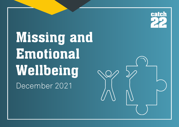

**Missing and Emotional Wellbeing** December 2021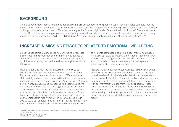## **BACKGROUND**

Child and adolescent mental health has been a growing area of concern for the past few years. Recent studies estimate that the prevalence of mental health problems in children and young people is 1 in 8, an increase on the previous estimate of 1 in 10<sup>1</sup>. When looking at children's self-reported difficulties, as many as 1 in 5 report high levels of mental health difficulties<sup>2</sup>. The mental health of the UK's children and young people was deteriorating before the pandemic, but whilst a small proportion of children and young people thrived during the first COVID-19 UK lockdown, 'the deterioration [was] clearest among those already struggling'<sup>3</sup> .

# **INCREASE IN MISSING EPISODES RELATED TO EMOTIONAL WELLBEING**

Since the pandemic, Catch22 Missing Services have recorded an increase in the proportion of missing incidents caused by children and young people's emotional wellbeing, as reported by children and young people themselves during Return Home Interviews.

Having raised this with the National Police Chiefs Council Missing Persons lead, further research into the issue using Police prevention interviews (conducted by Officers when a child initially arrives home) confirmed that this is a widespread phenomenon. In some cases, raw missing numbers in 2020 were down on previous years due to successive lockdowns and the introduction of new missing reporting protocols for children in care. However, the number of mental-health related incidents as a proportion of the total had increased: in one large Police Force area, the percentage of missing incidents attributed to poor mental health rose from 5.7% in 2019/2020 to 8.5% in 2021/2022 (year to date). Another Force produced figures for the past 18 months, which again demonstrated that the proportion

of incidents attributable to a child's poor mental health rose from 7.6% to 13.9% during that time. A senior member of that Force stated, 'The figures for 2021 are also higher than 2019 which I consider to be the base level prior to the pandemic. These figures do confirm your concerns.'

Proportions of emotional wellbeing cases in Police Prevention Interview data are lower than in Catch22 data from the return home interview (RHI), which is a debrief with an independent person to check the child is OK and to find out what can be done to prevent the child going missing in future. This is consistent with all information yielded from RHIs as children are less likely to speak in depth to Police Officers about why they went missing and what happened, probably due both to their anxiety over speaking to authority figures and to the short timeframe of prevention interviews, which take place immediately after their return.

1 NHS Digital. Mental Health of Children and Young People in England, 2017: Summary of Key Findings. Government Statistical Service, 2018. <sup>2</sup> Deighton, J., Yoon, Y. & Garland, L., 2020. <sup>3</sup> Ford T., John, A., & Gunnell, D., 2021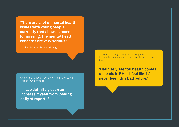**'There are a lot of mental health issues with young people currently that show as reasons for missing. The mental health concerns are very serious.'**

Catch22 Missing Service Manager

**One of the Police officers working in a Missing the Connect of the Police of the Police officers** Persons Unit stated:

**'I have definitely seen an increase myself from looking daily at reports.'**

There is a strong perception amongst all return home interview case workers that this is the case too:

**'Definitely. Mental health comes up loads in RHIs. I feel like it's**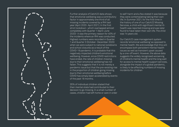

Further analysis of Catch22 data shows that emotional wellbeing was a contributory factor in approximately one third of all missing incidents covered by a RHI last year (April 2020- April 2021). In the first strict lockdown- which overlapped almost completely with Quarter 1 (April-June 2020)- it was the primary reason for 40% of the incidents where an RHI was conducted. Highest numbers were recorded in Quarter 1 and Quarter 3 (October- December 2020) when we were subject to national lockdowns and school closures as a result of the COVID-19 pandemic. It is probable that this negatively impacted children's emotional wellbeing. However, since COVID restrictions have ended, the rate of children missing due to their emotional wellbeing has not fallen. This suggests that it is not merely a pandemic issue but that the pre-existing rise in the proportion of children going missing due to their emotional wellbeing before COVID has simply been accelerated by events of the past 18 months.

35% of individual children stated that their mental state had contributed to their decision to go missing. In a small number of cases, children had left home or care in order to self-harm and a few stated it was because they were contemplating taking their own life. In Summer 2021, for the first time in the history of one of our Catch22 Missing Services, a child with significant mental illhealth was reported missing and was later found to have taken their own life. The child was 14 years old.

Our Catch22 case management system records 'emotional wellbeing' as opposed to mental health. We acknowledge that this will encompass both persistent mental health issues as well as transient upset caused by a one-off event. However, the above data suggests the widely recognised worsening of children's mental health and the long wait for access to mental health support services, alongside the impact of a global pandemic, is likely to be affecting numbers of missing incidents for children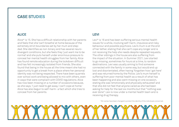## **CASE STUDIES**

### **ALICE LEVI**

Alice\* is 15. She has a difficult relationship with her parents and feels that she 'can't breathe' at home because of the extremely strict boundaries set by her mum and stepdad. She identifies as non-binary and has several neurodivergent conditions, but she feels they 'just want me to be normal' and she puts herself under enormous pressure to conceal her mental health struggles from her family. Alice has found remote education during the lockdown difficult and has felt increasingly isolated from friends. She also found that being in the house all the time meant she had no opportunity to get a break from a place where her personal identity was not being respected. There have been quarrels over school work and being allowed to mix with others, even in ways that were compliant with COVID regulations. Alice has now been missing on a number of occasions because, as she says, 'I just need to get away. I can't cope at home.' Alice has also begun to self-harm- a fact which she tries to conceal from her parents.

Levi\* is 16 and has been suffering serious mental health issues for a while, involving self-harm, impulsive and risky behaviour and possible psychosis. Levi's mum is at the end of her tether, stating that she can't cope any longer and is not receiving the help she needs despite repeated requests. The other siblings in the house are also suffering from the impact of the situation. In Summer 2021, Levi started to go missing, sometimes for hours at a time, to random destinations. Levi was usually aiming to find someone connected with the family in some way, but would end up lost and disorientated, often having 'forgotten how I got here' and was returned home by the Police. Levi's mum herself is suffering from poor mental health as a result of what has been happening and also went missing on one occasion, stating she was 'emotionally and physically exhausted' and that she did not feel that anyone cared as she had been asking for help for the last six months but that "nothing was ever done". Levi is now under a mental health team and is receiving drug therapy.

\*All names have been changed to protect the identity of the individuals concerned.

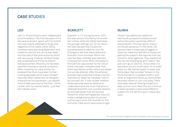## **CASE STUDIES**

Leo\* is 16 and living in semi-independent accommodation. The first few years of his life were turbulent, spent with his mother who was heavily addicted to drugs and neglectful of his needs. Other family members were also drug dependent and unable to care for him, so he was taken into the care of the local authority whilst still very young. However, he feels lonely and unwanted and thinks he doesn't belong anywhere. Recently, he has been reported missing on several occasions, When visited by our case worker, he revealed that there have been further missing episodes which have not been reported. When asked why he has gone missing from his placement, Leo replied that he feels low most of the time. 'I think I suffer with my mental health. I just feel like nobody cares.'

### **LEO SCARLETT OLIWIA**

Scarlett\* is 13. During Summer 2021. she was alone in the family home with her mother while her father had taken the younger siblings out. On his return, her Dad realised that his partner had attempted to take her own life. Emergency services were called and Scarlett's mum survived. Within the next few days, Scarlett was reported missing from home. When she spoke to the Catch22 case worker for her return home interview, it became clear that there was family conflict which pre-dated the suicide attempt. After the attempt, Scarlett had conducted intense internet searches on 'death by overdose', 'how to kill yourself' etc. It was unclear whether these searches were an attempt to understand what her mum had done or reflected Scarlett's own suicidal ideation, as she had stated that she blamed herself for what had happened. Catch22 made a safeguarding referral and are continuing to work with Scarlett on this and other risks which have come to light.

Oliwia\* has additional needs and has found successive lockdowns and school disruption extremely difficult and stressful. This has had an impact on Oliwia's behaviour in the home. Her parents have increasingly struggled to meet her needs but feel she is simply not getting the support she requires from her school or other agencies. They stated that she can be 'challenging' and 'violent'. 'We just can't go on like this. I know she's in a bad place, but you know what, I'm in a bad place too. My mental health is really bad. Some days I feel suicidal.' Tension in the home has led to increased conflict, and when an argument flares up, Oliwia either becomes violent or just runs away. There have been several missing incidents to date, but her mum feels this will continue or even escalate unless some effective support for the family is put in place very soon.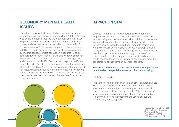# **SECONDARY MENTAL HEALTH ISSUES**

There has been a well-documented rise in domestic abuse during the COVID pandemic. During Quarter 1 2020-2021, there was a 65% increase in calls to the National Domestic Abuse Helpline4 . The police recorded 259,324 offences flagged as domestic abuse-related in the period March to June 2020. (This represents a 7% increase compared to the same period in 2019.)5 In addition, adult mental health has also suffered during this period. Multiple population measures revealed deteriorations in adult mental health and wellbeing between March and May 2020°, and a large study of adults aged 18 and over found that 26.1% of respondents reported self-harm thoughts and 7.9% self-harm behaviours at least once between March 2020 and May 2021.<sup>7</sup> Our data suggests that children do not just go missing because of their own emotional wellbeing; a small proportion go missing due to the secondary impact of poor mental health of their parents/carers. (see Scarlett\*'s case study above)

# **IMPACT ON STAFF**

Catch22 frontline staff have reported on the impact that frequent contact with children in distress can have on their own wellbeing and the frustration when children do not seem to receive the mental health support they need. Many case workers have detailed the significant amounts of time and energy they were spending trying to secure appropriate and timely mental health support for young people and frustration that the support was sometimes simply not accessible. Latest data from half of England's specialist child mental health services found one in five young people seen since the pandemic waited longer than 12 weeks for care. 8

### **'I was told CAMHS are so short staffed that at that particular time they had no specialist nurses or clinicians working.'**

### Catch22 case worker

This sense of helplessness can take an emotional toll on case workers. One of the actions following from a Return Home Interview is to ensure the child has appropriate support in place to prevent future missing episodes. Where this doesn't seem possible, case workers report feeling discouraged and feel they risk looking ineffective to the young people and families they aim to support.

> House of Commons Library 2021 Office for National Statistics/ Public Health England Paul & Fancourt, 2021

8 BBC News report 21.09.21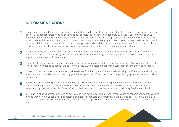# **RECOMMENDATIONS**

- Timely access to mental health support is required when children disclose poor mental health during a return home interview (RHI). Having been reported missing or being at risk of exploitation should be supported by a fast-track referral into Child and Adolescent Mental Health Services. Where immediate expert support at the appropriate level cannot be accessed due to waiting lists and thresholds, interim support should be put in place – ideally by a professional with a good existing relationship with the child- in order to prevent, monitor and manage risks and escalate concerns where necessary. Support could include providing regular wellbeing check-ins with a child, sources of immediate online or telephone support etc. **1**
- When a parent/carer calls to report that child missing, Police call-handlers should ask explicitly about the child's state of mind in the run-up to the missing episode and at the time of going missing. This will support accurate risk assessment and appropriate response and investigation. **2**
- There should be an appropriate flagging process on Police systems for children known to be suffering with poor mental health. These should be used consistently and taken into account when decisions are made about response to the missing report. **3**
- Where children disclose during a prevention interview or RHI that a parent's emotional wellbeing is suffering, there should be a mechanism to record this which then triggers follow-up support. This should be accompanied by systems to ensure this has taken place. **4**
- Follow-up contact by the person who conducted the RHI should take place where poor mental health has been disclosed. This should happen within a week of the initial RHI, in line with research that suggests the risk of repeat missing episodes is especially high in the first couple of weeks<sup>9</sup>. Commissioners should consider this as part of Missing Service specifications. **5**
- Information-sharing protocols should be put in place whereby educational establishments such as schools and colleges can be alerted that a child has had a missing episode (subject to consent to share from child and parents/carers). This will make key staff at the school aware that the child may need additional support at this time and enable them to check on a child's state of mind. **6**

9 Sidebottom, A; Boulton, L; Cockbain, E; Halford, E; Phoenix, J; (2020) Missing children: risks, repeats and responses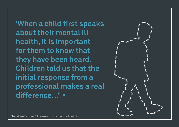**'When a child first speaks about their mental ill health, it is important for them to know that they have been heard. Children told us that the initial response from a professional makes a real difference…' 10**